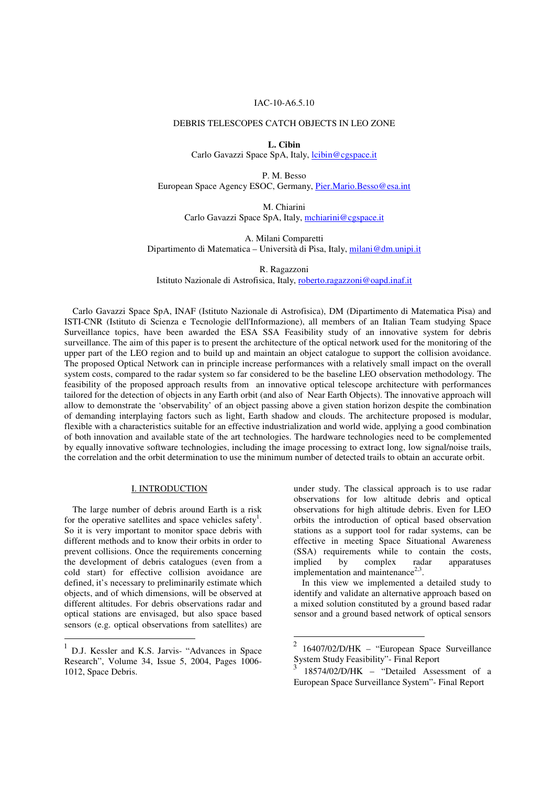#### IAC-10-A6.5.10

# DEBRIS TELESCOPES CATCH OBJECTS IN LEO ZONE

**L. Cibin**  Carlo Gavazzi Space SpA, Italy, lcibin@cgspace.it

P. M. Besso European Space Agency ESOC, Germany, Pier.Mario.Besso@esa.int

> M. Chiarini Carlo Gavazzi Space SpA, Italy, mchiarini@cgspace.it

A. Milani Comparetti Dipartimento di Matematica – Università di Pisa, Italy, milani@dm.unipi.it

R. Ragazzoni

Istituto Nazionale di Astrofisica, Italy, roberto.ragazzoni@oapd.inaf.it

Carlo Gavazzi Space SpA, INAF (Istituto Nazionale di Astrofisica), DM (Dipartimento di Matematica Pisa) and ISTI-CNR (Istituto di Scienza e Tecnologie dell'Informazione), all members of an Italian Team studying Space Surveillance topics, have been awarded the ESA SSA Feasibility study of an innovative system for debris surveillance. The aim of this paper is to present the architecture of the optical network used for the monitoring of the upper part of the LEO region and to build up and maintain an object catalogue to support the collision avoidance. The proposed Optical Network can in principle increase performances with a relatively small impact on the overall system costs, compared to the radar system so far considered to be the baseline LEO observation methodology. The feasibility of the proposed approach results from an innovative optical telescope architecture with performances tailored for the detection of objects in any Earth orbit (and also of Near Earth Objects). The innovative approach will allow to demonstrate the 'observability' of an object passing above a given station horizon despite the combination of demanding interplaying factors such as light, Earth shadow and clouds. The architecture proposed is modular, flexible with a characteristics suitable for an effective industrialization and world wide, applying a good combination of both innovation and available state of the art technologies. The hardware technologies need to be complemented by equally innovative software technologies, including the image processing to extract long, low signal/noise trails, the correlation and the orbit determination to use the minimum number of detected trails to obtain an accurate orbit.

#### I. INTRODUCTION

The large number of debris around Earth is a risk for the operative satellites and space vehicles safety<sup>1</sup>. So it is very important to monitor space debris with different methods and to know their orbits in order to prevent collisions. Once the requirements concerning the development of debris catalogues (even from a cold start) for effective collision avoidance are defined, it's necessary to preliminarily estimate which objects, and of which dimensions, will be observed at different altitudes. For debris observations radar and optical stations are envisaged, but also space based sensors (e.g. optical observations from satellites) are

 $\overline{a}$ 

under study. The classical approach is to use radar observations for low altitude debris and optical observations for high altitude debris. Even for LEO orbits the introduction of optical based observation stations as a support tool for radar systems, can be effective in meeting Space Situational Awareness (SSA) requirements while to contain the costs, implied by complex radar apparatuses implementation and maintenance $2,3$ .

In this view we implemented a detailed study to identify and validate an alternative approach based on a mixed solution constituted by a ground based radar sensor and a ground based network of optical sensors

<sup>&</sup>lt;sup>1</sup> D.J. Kessler and K.S. Jarvis- "Advances in Space Research", Volume 34, Issue 5, 2004, Pages 1006- 1012, Space Debris.

 $\frac{1}{2}$ 16407/02/D/HK – "European Space Surveillance System Study Feasibility"- Final Report

<sup>3</sup> 18574/02/D/HK – "Detailed Assessment of a European Space Surveillance System"- Final Report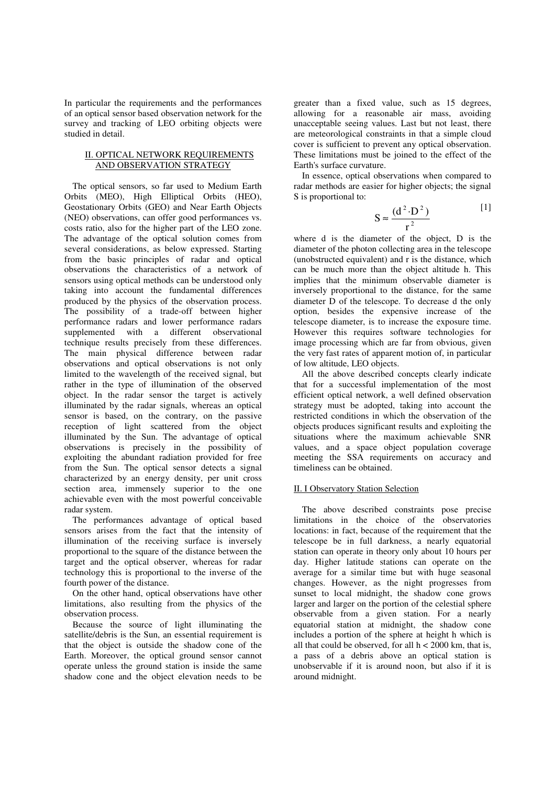In particular the requirements and the performances of an optical sensor based observation network for the survey and tracking of LEO orbiting objects were studied in detail.

# II. OPTICAL NETWORK REQUIREMENTS AND OBSERVATION STRATEGY

The optical sensors, so far used to Medium Earth Orbits (MEO), High Elliptical Orbits (HEO), Geostationary Orbits (GEO) and Near Earth Objects (NEO) observations, can offer good performances vs. costs ratio, also for the higher part of the LEO zone. The advantage of the optical solution comes from several considerations, as below expressed. Starting from the basic principles of radar and optical observations the characteristics of a network of sensors using optical methods can be understood only taking into account the fundamental differences produced by the physics of the observation process. The possibility of a trade-off between higher performance radars and lower performance radars supplemented with a different observational technique results precisely from these differences. The main physical difference between radar observations and optical observations is not only limited to the wavelength of the received signal, but rather in the type of illumination of the observed object. In the radar sensor the target is actively illuminated by the radar signals, whereas an optical sensor is based, on the contrary, on the passive reception of light scattered from the object illuminated by the Sun. The advantage of optical observations is precisely in the possibility of exploiting the abundant radiation provided for free from the Sun. The optical sensor detects a signal characterized by an energy density, per unit cross section area, immensely superior to the one achievable even with the most powerful conceivable radar system.

The performances advantage of optical based sensors arises from the fact that the intensity of illumination of the receiving surface is inversely proportional to the square of the distance between the target and the optical observer, whereas for radar technology this is proportional to the inverse of the fourth power of the distance.

On the other hand, optical observations have other limitations, also resulting from the physics of the observation process.

Because the source of light illuminating the satellite/debris is the Sun, an essential requirement is that the object is outside the shadow cone of the Earth. Moreover, the optical ground sensor cannot operate unless the ground station is inside the same shadow cone and the object elevation needs to be

greater than a fixed value, such as 15 degrees, allowing for a reasonable air mass, avoiding unacceptable seeing values. Last but not least, there are meteorological constraints in that a simple cloud cover is sufficient to prevent any optical observation. These limitations must be joined to the effect of the Earth's surface curvature.

In essence, optical observations when compared to radar methods are easier for higher objects; the signal S is proportional to:

$$
S \approx \frac{(d^2 \cdot D^2)}{r^2}
$$
 [1]

where d is the diameter of the object, D is the diameter of the photon collecting area in the telescope (unobstructed equivalent) and r is the distance, which can be much more than the object altitude h. This implies that the minimum observable diameter is inversely proportional to the distance, for the same diameter D of the telescope. To decrease d the only option, besides the expensive increase of the telescope diameter, is to increase the exposure time. However this requires software technologies for image processing which are far from obvious, given the very fast rates of apparent motion of, in particular of low altitude, LEO objects.

All the above described concepts clearly indicate that for a successful implementation of the most efficient optical network, a well defined observation strategy must be adopted, taking into account the restricted conditions in which the observation of the objects produces significant results and exploiting the situations where the maximum achievable SNR values, and a space object population coverage meeting the SSA requirements on accuracy and timeliness can be obtained.

## II. I Observatory Station Selection

The above described constraints pose precise limitations in the choice of the observatories locations: in fact, because of the requirement that the telescope be in full darkness, a nearly equatorial station can operate in theory only about 10 hours per day. Higher latitude stations can operate on the average for a similar time but with huge seasonal changes. However, as the night progresses from sunset to local midnight, the shadow cone grows larger and larger on the portion of the celestial sphere observable from a given station. For a nearly equatorial station at midnight, the shadow cone includes a portion of the sphere at height h which is all that could be observed, for all  $h < 2000$  km, that is, a pass of a debris above an optical station is unobservable if it is around noon, but also if it is around midnight.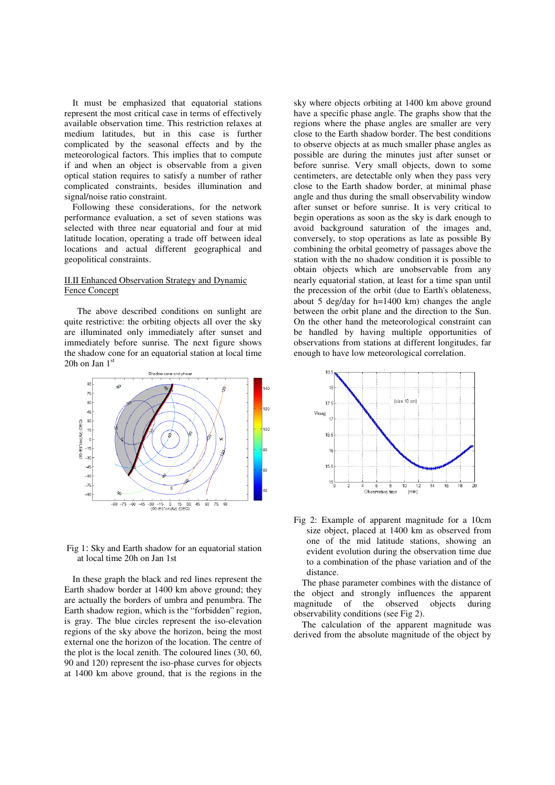It must be emphasized that equatorial stations represent the most critical case in terms of effectively available observation time. This restriction relaxes at medium latitudes, but in this case is further complicated by the seasonal effects and by the meteorological factors. This implies that to compute if and when an object is observable from a given optical station requires to satisfy a number of rather complicated constraints, besides illumination and signal/noise ratio constraint.

Following these considerations, for the network performance evaluation, a set of seven stations was selected with three near equatorial and four at mid latitude location, operating a trade off between ideal locations and actual different geographical and geopolitical constraints.

## II.II Enhanced Observation Strategy and Dynamic Fence Concept

The above described conditions on sunlight are quite restrictive: the orbiting objects all over the sky are illuminated only immediately after sunset and immediately before sunrise. The next figure shows the shadow cone for an equatorial station at local time 20h on Jan  $1<sup>st</sup>$ 



 Fig 1: Sky and Earth shadow for an equatorial station at local time 20h on Jan 1st

In these graph the black and red lines represent the Earth shadow border at 1400 km above ground; they are actually the borders of umbra and penumbra. The Earth shadow region, which is the "forbidden" region, is gray. The blue circles represent the iso-elevation regions of the sky above the horizon, being the most external one the horizon of the location. The centre of the plot is the local zenith. The coloured lines (30, 60, 90 and 120) represent the iso-phase curves for objects at 1400 km above ground, that is the regions in the

sky where objects orbiting at 1400 km above ground have a specific phase angle. The graphs show that the regions where the phase angles are smaller are very close to the Earth shadow border. The best conditions to observe objects at as much smaller phase angles as possible are during the minutes just after sunset or before sunrise. Very small objects, down to some centimeters, are detectable only when they pass very close to the Earth shadow border, at minimal phase angle and thus during the small observability window after sunset or before sunrise. It is very critical to begin operations as soon as the sky is dark enough to avoid background saturation of the images and, conversely, to stop operations as late as possible By combining the orbital geometry of passages above the station with the no shadow condition it is possible to obtain objects which are unobservable from any nearly equatorial station, at least for a time span until the precession of the orbit (due to Earth's oblateness, about 5 deg/day for h=1400 km) changes the angle between the orbit plane and the direction to the Sun. On the other hand the meteorological constraint can be handled by having multiple opportunities of observations from stations at different longitudes, far enough to have low meteorological correlation.



Fig 2: Example of apparent magnitude for a 10cm size object, placed at 1400 km as observed from one of the mid latitude stations, showing an evident evolution during the observation time due to a combination of the phase variation and of the distance.

The phase parameter combines with the distance of the object and strongly influences the apparent magnitude of the observed objects during observability conditions (see Fig 2).

The calculation of the apparent magnitude was derived from the absolute magnitude of the object by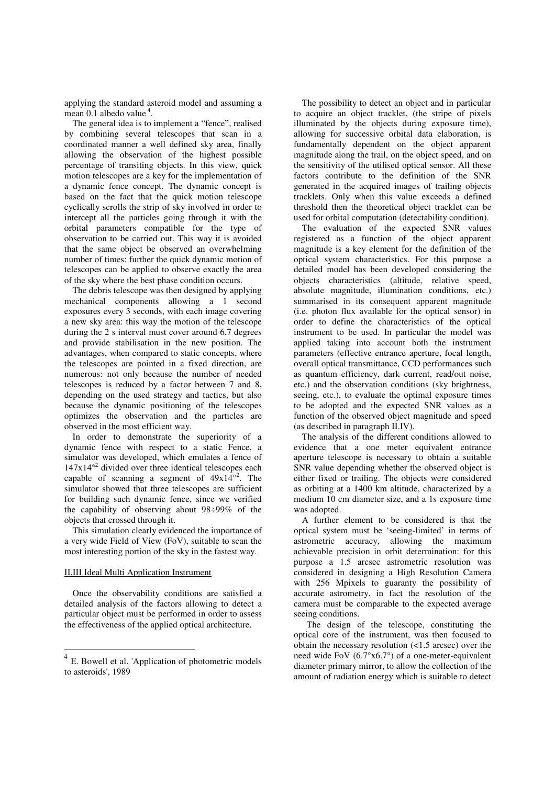applying the standard asteroid model and assuming a  $mean$  0.1 albedo value<sup>4</sup>.

The general idea is to implement a "fence", realised by combining several telescopes that scan in a coordinated manner a well defined sky area, finally allowing the observation of the highest possible percentage of transiting objects. In this view, quick motion telescopes are a key for the implementation of a dynamic fence concept. The dynamic concept is based on the fact that the quick motion telescope cyclically scrolls the strip of sky involved in order to intercept all the particles going through it with the orbital parameters compatible for the type of observation to be carried out. This way it is avoided that the same object be observed an overwhelming number of times: further the quick dynamic motion of telescopes can be applied to observe exactly the area of the sky where the best phase condition occurs.

The debris telescope was then designed by applying mechanical components allowing a 1 second exposures every 3 seconds, with each image covering a new sky area: this way the motion of the telescope during the 2 s interval must cover around 6.7 degrees and provide stabilisation in the new position. The advantages, when compared to static concepts, where the telescopes are pointed in a fixed direction, are numerous: not only because the number of needed telescopes is reduced by a factor between 7 and 8, depending on the used strategy and tactics, but also because the dynamic positioning of the telescopes optimizes the observation and the particles are observed in the most efficient way.

In order to demonstrate the superiority of a dynamic fence with respect to a static Fence, a simulator was developed, which emulates a fence of  $147x14^{\circ2}$  divided over three identical telescopes each capable of scanning a segment of  $49x14^{\circ 2}$ . The simulator showed that three telescopes are sufficient for building such dynamic fence, since we verified the capability of observing about 98÷99% of the objects that crossed through it.

This simulation clearly evidenced the importance of a very wide Field of View (FoV), suitable to scan the most interesting portion of the sky in the fastest way.

#### II.III Ideal Multi Application Instrument

 $\overline{a}$ 

Once the observability conditions are satisfied a detailed analysis of the factors allowing to detect a particular object must be performed in order to assess the effectiveness of the applied optical architecture.

The possibility to detect an object and in particular to acquire an object tracklet, (the stripe of pixels illuminated by the objects during exposure time), allowing for successive orbital data elaboration, is fundamentally dependent on the object apparent magnitude along the trail, on the object speed, and on the sensitivity of the utilised optical sensor. All these factors contribute to the definition of the SNR generated in the acquired images of trailing objects tracklets. Only when this value exceeds a defined threshold then the theoretical object tracklet can be used for orbital computation (detectability condition).

The evaluation of the expected SNR values registered as a function of the object apparent magnitude is a key element for the definition of the optical system characteristics. For this purpose a detailed model has been developed considering the objects characteristics (altitude, relative speed, absolute magnitude, illumination conditions, etc.) summarised in its consequent apparent magnitude (i.e. photon flux available for the optical sensor) in order to define the characteristics of the optical instrument to be used. In particular the model was applied taking into account both the instrument parameters (effective entrance aperture, focal length, overall optical transmittance, CCD performances such as quantum efficiency, dark current, read/out noise, etc.) and the observation conditions (sky brightness, seeing, etc.), to evaluate the optimal exposure times to be adopted and the expected SNR values as a function of the observed object magnitude and speed (as described in paragraph II.IV).

The analysis of the different conditions allowed to evidence that a one meter equivalent entrance aperture telescope is necessary to obtain a suitable SNR value depending whether the observed object is either fixed or trailing. The objects were considered as orbiting at a 1400 km altitude, characterized by a medium 10 cm diameter size, and a 1s exposure time was adopted.

A further element to be considered is that the optical system must be 'seeing-limited' in terms of astrometric accuracy, allowing the maximum achievable precision in orbit determination: for this purpose a 1.5 arcsec astrometric resolution was considered in designing a High Resolution Camera with 256 Mpixels to guaranty the possibility of accurate astrometry, in fact the resolution of the camera must be comparable to the expected average seeing conditions.

The design of the telescope, constituting the optical core of the instrument, was then focused to obtain the necessary resolution (<1.5 arcsec) over the need wide FoV (6.7°x6.7°) of a one-meter-equivalent diameter primary mirror, to allow the collection of the amount of radiation energy which is suitable to detect

<sup>&</sup>lt;sup>4</sup> E. Bowell et al. 'Application of photometric models to asteroids', 1989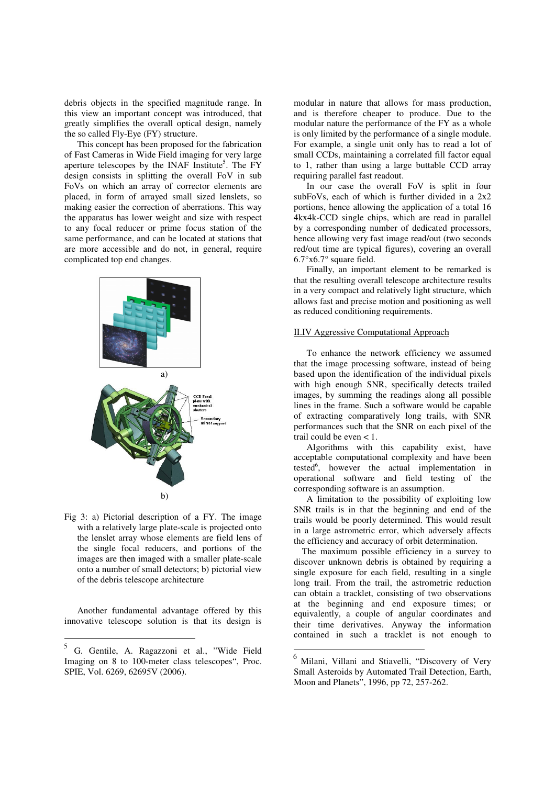debris objects in the specified magnitude range. In this view an important concept was introduced, that greatly simplifies the overall optical design, namely the so called Fly-Eye (FY) structure.

This concept has been proposed for the fabrication of Fast Cameras in Wide Field imaging for very large aperture telescopes by the INAF Institute<sup>5</sup>. The FY design consists in splitting the overall FoV in sub FoVs on which an array of corrector elements are placed, in form of arrayed small sized lenslets, so making easier the correction of aberrations. This way the apparatus has lower weight and size with respect to any focal reducer or prime focus station of the same performance, and can be located at stations that are more accessible and do not, in general, require complicated top end changes.



Fig 3: a) Pictorial description of a FY. The image with a relatively large plate-scale is projected onto the lenslet array whose elements are field lens of the single focal reducers, and portions of the images are then imaged with a smaller plate-scale onto a number of small detectors; b) pictorial view of the debris telescope architecture

Another fundamental advantage offered by this innovative telescope solution is that its design is

modular in nature that allows for mass production, and is therefore cheaper to produce. Due to the modular nature the performance of the FY as a whole is only limited by the performance of a single module. For example, a single unit only has to read a lot of small CCDs, maintaining a correlated fill factor equal to 1, rather than using a large buttable CCD array requiring parallel fast readout.

In our case the overall FoV is split in four subFoVs, each of which is further divided in a 2x2 portions, hence allowing the application of a total 16 4kx4k-CCD single chips, which are read in parallel by a corresponding number of dedicated processors, hence allowing very fast image read/out (two seconds red/out time are typical figures), covering an overall 6.7°x6.7° square field.

Finally, an important element to be remarked is that the resulting overall telescope architecture results in a very compact and relatively light structure, which allows fast and precise motion and positioning as well as reduced conditioning requirements.

# II.IV Aggressive Computational Approach

To enhance the network efficiency we assumed that the image processing software, instead of being based upon the identification of the individual pixels with high enough SNR, specifically detects trailed images, by summing the readings along all possible lines in the frame. Such a software would be capable of extracting comparatively long trails, with SNR performances such that the SNR on each pixel of the trail could be even < 1.

Algorithms with this capability exist, have acceptable computational complexity and have been tested<sup>6</sup>, however the actual implementation in operational software and field testing of the corresponding software is an assumption.

A limitation to the possibility of exploiting low SNR trails is in that the beginning and end of the trails would be poorly determined. This would result in a large astrometric error, which adversely affects the efficiency and accuracy of orbit determination.

The maximum possible efficiency in a survey to discover unknown debris is obtained by requiring a single exposure for each field, resulting in a single long trail. From the trail, the astrometric reduction can obtain a tracklet, consisting of two observations at the beginning and end exposure times; or equivalently, a couple of angular coordinates and their time derivatives. Anyway the information contained in such a tracklet is not enough to

 $\overline{\phantom{a}}$ 

 $\frac{1}{5}$ G. Gentile, A. Ragazzoni et al., "Wide Field Imaging on 8 to 100-meter class telescopes", Proc. SPIE, Vol. 6269, 62695V (2006).

 $^6$  Milani, Villani and Stiavelli, "Discovery of Very Small Asteroids by Automated Trail Detection, Earth, Moon and Planets", 1996, pp 72, 257-262.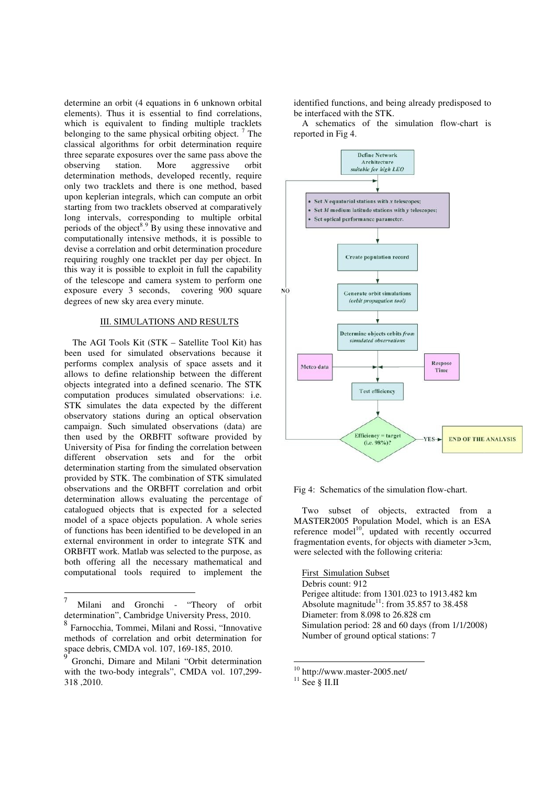determine an orbit (4 equations in 6 unknown orbital elements). Thus it is essential to find correlations, which is equivalent to finding multiple tracklets belonging to the same physical orbiting object.  $7$  The classical algorithms for orbit determination require three separate exposures over the same pass above the observing station. More aggressive orbit determination methods, developed recently, require only two tracklets and there is one method, based upon keplerian integrals, which can compute an orbit starting from two tracklets observed at comparatively long intervals, corresponding to multiple orbital periods of the object<sup>8</sup>.<sup>9</sup> By using these innovative and computationally intensive methods, it is possible to devise a correlation and orbit determination procedure requiring roughly one tracklet per day per object. In this way it is possible to exploit in full the capability of the telescope and camera system to perform one exposure every 3 seconds, covering 900 square degrees of new sky area every minute.

# III. SIMULATIONS AND RESULTS

The AGI Tools Kit (STK – Satellite Tool Kit) has been used for simulated observations because it performs complex analysis of space assets and it allows to define relationship between the different objects integrated into a defined scenario. The STK computation produces simulated observations: i.e. STK simulates the data expected by the different observatory stations during an optical observation campaign. Such simulated observations (data) are then used by the ORBFIT software provided by University of Pisa for finding the correlation between different observation sets and for the orbit determination starting from the simulated observation provided by STK. The combination of STK simulated observations and the ORBFIT correlation and orbit determination allows evaluating the percentage of catalogued objects that is expected for a selected model of a space objects population. A whole series of functions has been identified to be developed in an external environment in order to integrate STK and ORBFIT work. Matlab was selected to the purpose, as both offering all the necessary mathematical and computational tools required to implement the

identified functions, and being already predisposed to be interfaced with the STK.

A schematics of the simulation flow-chart is reported in Fig 4.



Fig 4: Schematics of the simulation flow-chart.

Two subset of objects, extracted from a MASTER2005 Population Model, which is an ESA reference model $10$ , updated with recently occurred fragmentation events, for objects with diameter >3cm, were selected with the following criteria:

First Simulation Subset Debris count: 912 Perigee altitude: from 1301.023 to 1913.482 km Absolute magnitude<sup>11</sup>: from 35.857 to 38.458 Diameter: from 8.098 to 26.828 cm Simulation period: 28 and 60 days (from 1/1/2008) Number of ground optical stations: 7

 $\overline{a}$ 

<sup>-&</sup>lt;br>7 Milani and Gronchi - "Theory of orbit determination", Cambridge University Press, 2010.

<sup>8</sup> Farnocchia, Tommei, Milani and Rossi, "Innovative methods of correlation and orbit determination for space debris, CMDA vol. 107, 169-185, 2010.<br><sup>9</sup> Cronehi, Dimore and Milani "Orbit determ

Gronchi, Dimare and Milani "Orbit determination with the two-body integrals", CMDA vol. 107,299- 318 ,2010.

<sup>&</sup>lt;sup>10</sup> http://www.master-2005.net/

 $^{11}$  See § II.II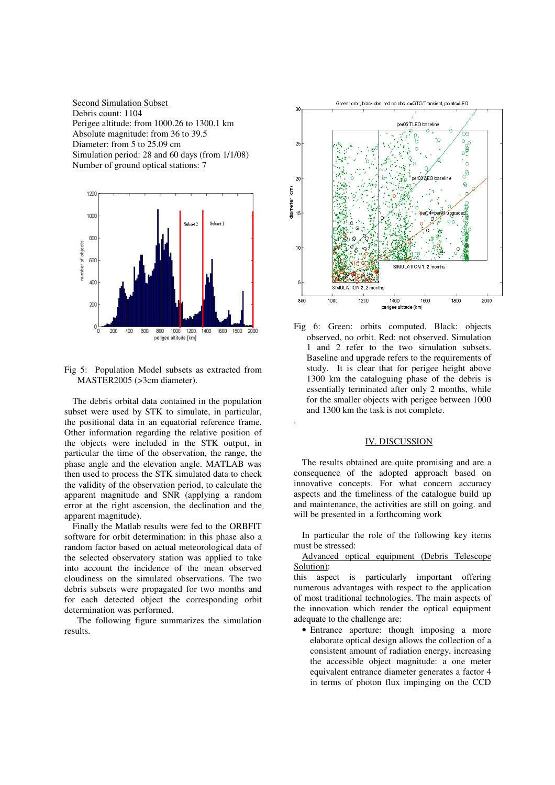Second Simulation Subset Debris count: 1104 Perigee altitude: from 1000.26 to 1300.1 km Absolute magnitude: from 36 to 39.5 Diameter: from 5 to 25.09 cm Simulation period: 28 and 60 days (from 1/1/08) Number of ground optical stations: 7



Fig 5: Population Model subsets as extracted from MASTER2005 (>3cm diameter).

The debris orbital data contained in the population subset were used by STK to simulate, in particular, the positional data in an equatorial reference frame. Other information regarding the relative position of the objects were included in the STK output, in particular the time of the observation, the range, the phase angle and the elevation angle. MATLAB was then used to process the STK simulated data to check the validity of the observation period, to calculate the apparent magnitude and SNR (applying a random error at the right ascension, the declination and the apparent magnitude).

Finally the Matlab results were fed to the ORBFIT software for orbit determination: in this phase also a random factor based on actual meteorological data of the selected observatory station was applied to take into account the incidence of the mean observed cloudiness on the simulated observations. The two debris subsets were propagated for two months and for each detected object the corresponding orbit determination was performed.

The following figure summarizes the simulation results.



Fig 6: Green: orbits computed. Black: objects observed, no orbit. Red: not observed. Simulation 1 and 2 refer to the two simulation subsets. Baseline and upgrade refers to the requirements of study. It is clear that for perigee height above 1300 km the cataloguing phase of the debris is essentially terminated after only 2 months, while for the smaller objects with perigee between 1000 and 1300 km the task is not complete.

.

#### IV. DISCUSSION

The results obtained are quite promising and are a consequence of the adopted approach based on innovative concepts. For what concern accuracy aspects and the timeliness of the catalogue build up and maintenance, the activities are still on going. and will be presented in a forthcoming work

In particular the role of the following key items must be stressed:

## Advanced optical equipment (Debris Telescope Solution):

this aspect is particularly important offering numerous advantages with respect to the application of most traditional technologies. The main aspects of the innovation which render the optical equipment adequate to the challenge are:

• Entrance aperture: though imposing a more elaborate optical design allows the collection of a consistent amount of radiation energy, increasing the accessible object magnitude: a one meter equivalent entrance diameter generates a factor 4 in terms of photon flux impinging on the CCD